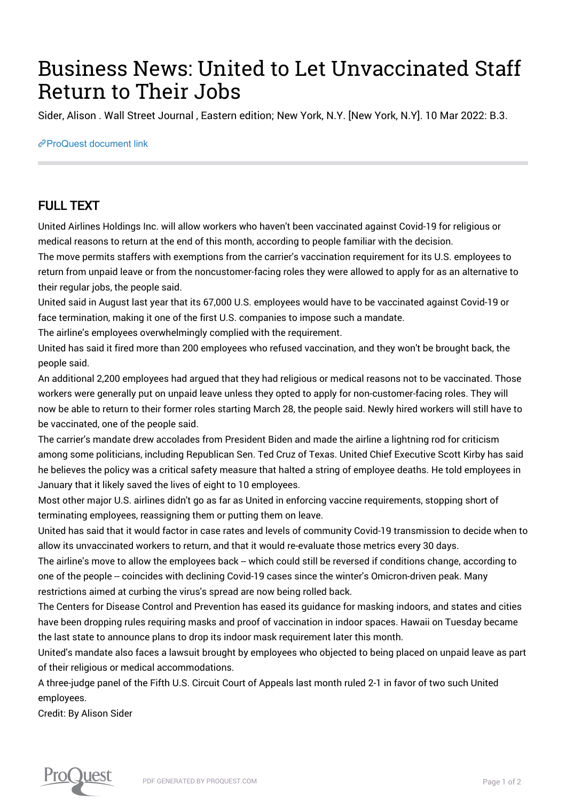## Business News: United to Let Unvaccinated Staff Return to Their Jobs

Sider, Alison . Wall Street Journal , Eastern edition; New York, N.Y. [New York, N.Y]. 10 Mar 2022: B.3.

[ProQuest document link](https://www.proquest.com/newspapers/business-news-united-let-unvaccinated-staff/docview/2637511159/se-2?accountid=44910)

## FULL TEXT

United Airlines Holdings Inc. will allow workers who haven't been vaccinated against Covid-19 for religious or medical reasons to return at the end of this month, according to people familiar with the decision.

The move permits staffers with exemptions from the carrier's vaccination requirement for its U.S. employees to return from unpaid leave or from the noncustomer-facing roles they were allowed to apply for as an alternative to their regular jobs, the people said.

United said in August last year that its 67,000 U.S. employees would have to be vaccinated against Covid-19 or face termination, making it one of the first U.S. companies to impose such a mandate.

The airline's employees overwhelmingly complied with the requirement.

United has said it fired more than 200 employees who refused vaccination, and they won't be brought back, the people said.

An additional 2,200 employees had argued that they had religious or medical reasons not to be vaccinated. Those workers were generally put on unpaid leave unless they opted to apply for non-customer-facing roles. They will now be able to return to their former roles starting March 28, the people said. Newly hired workers will still have to be vaccinated, one of the people said.

The carrier's mandate drew accolades from President Biden and made the airline a lightning rod for criticism among some politicians, including Republican Sen. Ted Cruz of Texas. United Chief Executive Scott Kirby has said he believes the policy was a critical safety measure that halted a string of employee deaths. He told employees in January that it likely saved the lives of eight to 10 employees.

Most other major U.S. airlines didn't go as far as United in enforcing vaccine requirements, stopping short of terminating employees, reassigning them or putting them on leave.

United has said that it would factor in case rates and levels of community Covid-19 transmission to decide when to allow its unvaccinated workers to return, and that it would re-evaluate those metrics every 30 days.

The airline's move to allow the employees back -- which could still be reversed if conditions change, according to one of the people -- coincides with declining Covid-19 cases since the winter's Omicron-driven peak. Many restrictions aimed at curbing the virus's spread are now being rolled back.

The Centers for Disease Control and Prevention has eased its guidance for masking indoors, and states and cities have been dropping rules requiring masks and proof of vaccination in indoor spaces. Hawaii on Tuesday became the last state to announce plans to drop its indoor mask requirement later this month.

United's mandate also faces a lawsuit brought by employees who objected to being placed on unpaid leave as part of their religious or medical accommodations.

A three-judge panel of the Fifth U.S. Circuit Court of Appeals last month ruled 2-1 in favor of two such United employees.

Credit: By Alison Sider